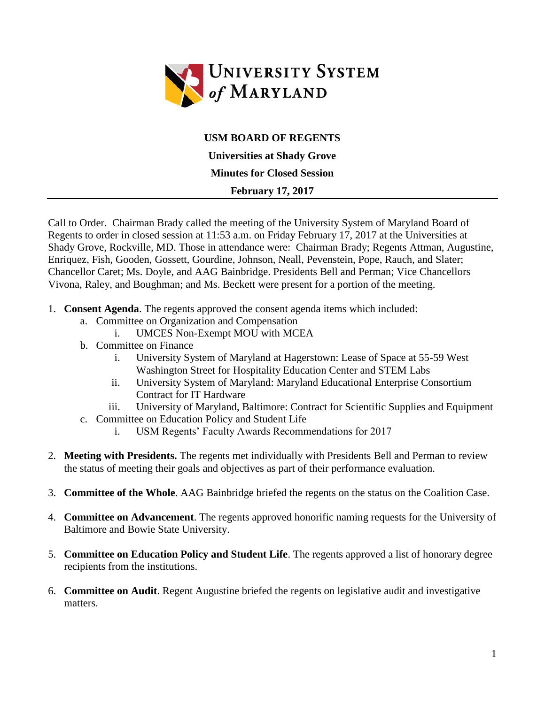

## **USM BOARD OF REGENTS**

**Universities at Shady Grove**

**Minutes for Closed Session**

## **February 17, 2017**

Call to Order. Chairman Brady called the meeting of the University System of Maryland Board of Regents to order in closed session at 11:53 a.m. on Friday February 17, 2017 at the Universities at Shady Grove, Rockville, MD. Those in attendance were: Chairman Brady; Regents Attman, Augustine, Enriquez, Fish, Gooden, Gossett, Gourdine, Johnson, Neall, Pevenstein, Pope, Rauch, and Slater; Chancellor Caret; Ms. Doyle, and AAG Bainbridge. Presidents Bell and Perman; Vice Chancellors Vivona, Raley, and Boughman; and Ms. Beckett were present for a portion of the meeting.

- 1. **Consent Agenda**. The regents approved the consent agenda items which included:
	- a. Committee on Organization and Compensation
		- i. UMCES Non-Exempt MOU with MCEA
	- b. Committee on Finance
		- i. University System of Maryland at Hagerstown: Lease of Space at 55-59 West Washington Street for Hospitality Education Center and STEM Labs
		- ii. University System of Maryland: Maryland Educational Enterprise Consortium Contract for IT Hardware
		- iii. University of Maryland, Baltimore: Contract for Scientific Supplies and Equipment
	- c. Committee on Education Policy and Student Life
		- i. USM Regents' Faculty Awards Recommendations for 2017
- 2. **Meeting with Presidents.** The regents met individually with Presidents Bell and Perman to review the status of meeting their goals and objectives as part of their performance evaluation.
- 3. **Committee of the Whole**. AAG Bainbridge briefed the regents on the status on the Coalition Case.
- 4. **Committee on Advancement**. The regents approved honorific naming requests for the University of Baltimore and Bowie State University.
- 5. **Committee on Education Policy and Student Life**. The regents approved a list of honorary degree recipients from the institutions.
- 6. **Committee on Audit**. Regent Augustine briefed the regents on legislative audit and investigative matters.